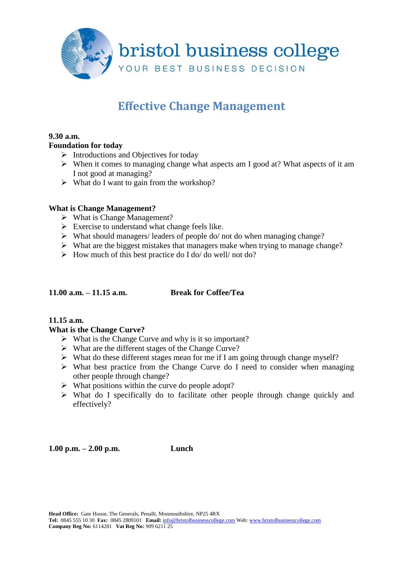

# **Effective Change Management**

#### **9.30 a.m.**

## **Foundation for today**

- $\triangleright$  Introductions and Objectives for today
- $\triangleright$  When it comes to managing change what aspects am I good at? What aspects of it am I not good at managing?
- $\triangleright$  What do I want to gain from the workshop?

## **What is Change Management?**

- $\triangleright$  What is Change Management?
- $\triangleright$  Exercise to understand what change feels like.
- $\triangleright$  What should managers/ leaders of people do/ not do when managing change?
- $\triangleright$  What are the biggest mistakes that managers make when trying to manage change?
- $\triangleright$  How much of this best practice do I do/ do well/ not do?

#### **11.00 a.m. – 11.15 a.m. Break for Coffee/Tea**

# **11.15 a.m.**

#### **What is the Change Curve?**

- $\triangleright$  What is the Change Curve and why is it so important?
- $\triangleright$  What are the different stages of the Change Curve?
- $\triangleright$  What do these different stages mean for me if I am going through change myself?
- $\triangleright$  What best practice from the Change Curve do I need to consider when managing other people through change?
- $\triangleright$  What positions within the curve do people adopt?
- $\triangleright$  What do I specifically do to facilitate other people through change quickly and effectively?

**1.00 p.m. – 2.00 p.m. Lunch**